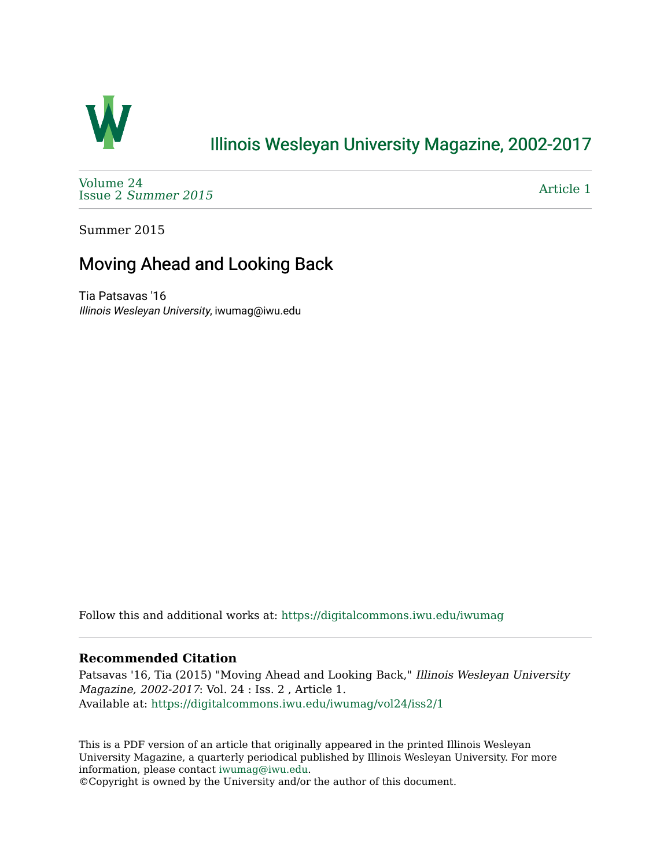

#### [Illinois Wesleyan University Magazine, 2002-2017](https://digitalcommons.iwu.edu/iwumag)

[Volume 24](https://digitalcommons.iwu.edu/iwumag/vol24)  Issue 2 [Summer 2015](https://digitalcommons.iwu.edu/iwumag/vol24/iss2) 

[Article 1](https://digitalcommons.iwu.edu/iwumag/vol24/iss2/1) 

Summer 2015

#### Moving Ahead and Looking Back

Tia Patsavas '16 Illinois Wesleyan University, iwumag@iwu.edu

Follow this and additional works at: [https://digitalcommons.iwu.edu/iwumag](https://digitalcommons.iwu.edu/iwumag?utm_source=digitalcommons.iwu.edu%2Fiwumag%2Fvol24%2Fiss2%2F1&utm_medium=PDF&utm_campaign=PDFCoverPages) 

#### **Recommended Citation**

Patsavas '16, Tia (2015) "Moving Ahead and Looking Back," Illinois Wesleyan University Magazine, 2002-2017: Vol. 24 : Iss. 2 , Article 1. Available at: [https://digitalcommons.iwu.edu/iwumag/vol24/iss2/1](https://digitalcommons.iwu.edu/iwumag/vol24/iss2/1?utm_source=digitalcommons.iwu.edu%2Fiwumag%2Fvol24%2Fiss2%2F1&utm_medium=PDF&utm_campaign=PDFCoverPages)

This is a PDF version of an article that originally appeared in the printed Illinois Wesleyan University Magazine, a quarterly periodical published by Illinois Wesleyan University. For more information, please contact [iwumag@iwu.edu](mailto:iwumag@iwu.edu).

©Copyright is owned by the University and/or the author of this document.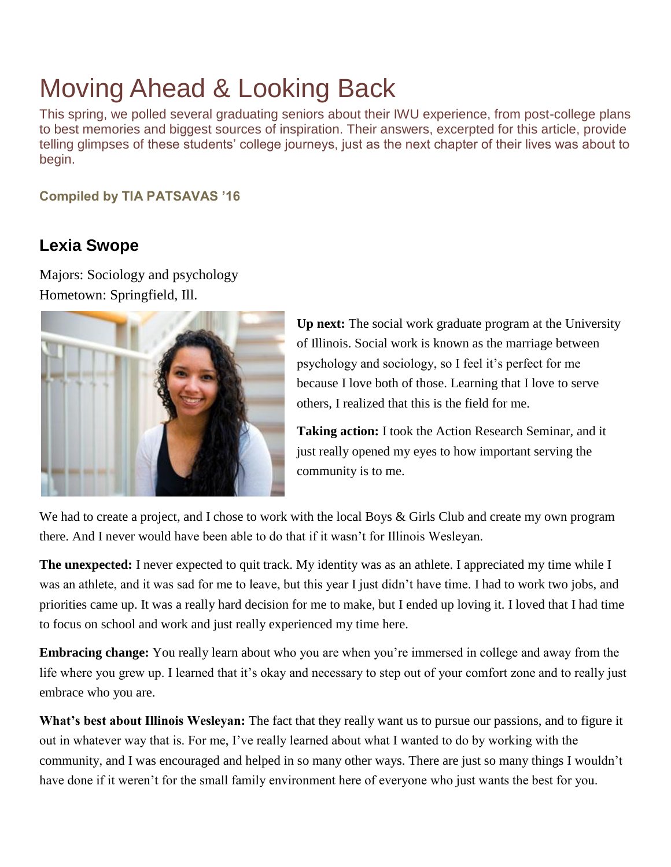# Moving Ahead & Looking Back

This spring, we polled several graduating seniors about their IWU experience, from post-college plans to best memories and biggest sources of inspiration. Their answers, excerpted for this article, provide telling glimpses of these students' college journeys, just as the next chapter of their lives was about to begin.

**Compiled by TIA PATSAVAS '16**

#### **Lexia Swope**

Majors: Sociology and psychology Hometown: Springfield, Ill.



**Up next:** The social work graduate program at the University of Illinois. Social work is known as the marriage between psychology and sociology, so I feel it's perfect for me because I love both of those. Learning that I love to serve others, I realized that this is the field for me.

**Taking action:** I took the Action Research Seminar, and it just really opened my eyes to how important serving the community is to me.

We had to create a project, and I chose to work with the local Boys & Girls Club and create my own program there. And I never would have been able to do that if it wasn't for Illinois Wesleyan.

**The unexpected:** I never expected to quit track. My identity was as an athlete. I appreciated my time while I was an athlete, and it was sad for me to leave, but this year I just didn't have time. I had to work two jobs, and priorities came up. It was a really hard decision for me to make, but I ended up loving it. I loved that I had time to focus on school and work and just really experienced my time here.

**Embracing change:** You really learn about who you are when you're immersed in college and away from the life where you grew up. I learned that it's okay and necessary to step out of your comfort zone and to really just embrace who you are.

**What's best about Illinois Wesleyan:** The fact that they really want us to pursue our passions, and to figure it out in whatever way that is. For me, I've really learned about what I wanted to do by working with the community, and I was encouraged and helped in so many other ways. There are just so many things I wouldn't have done if it weren't for the small family environment here of everyone who just wants the best for you.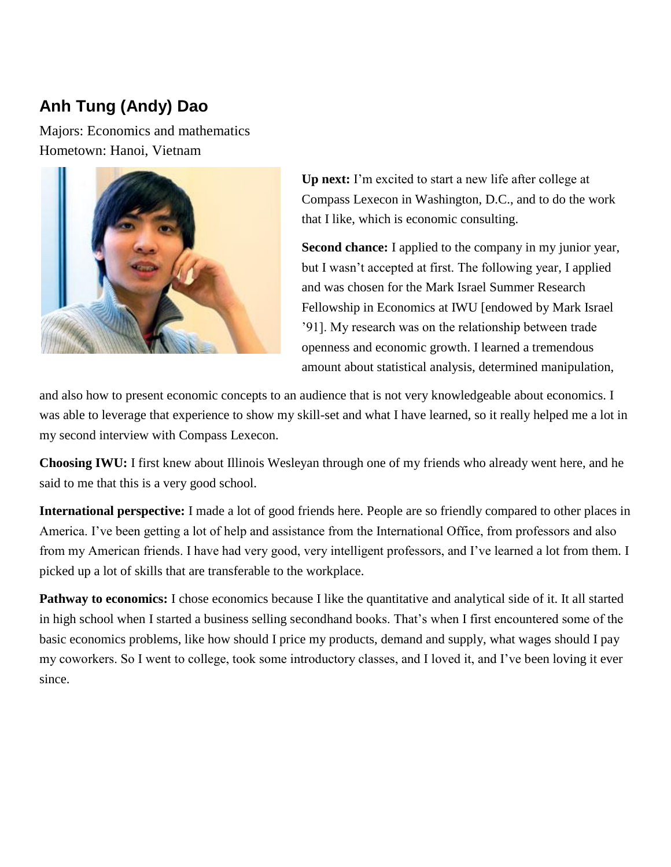# **Anh Tung (Andy) Dao**

Majors: Economics and mathematics Hometown: Hanoi, Vietnam



**Up next:** I'm excited to start a new life after college at Compass Lexecon in Washington, D.C., and to do the work that I like, which is economic consulting.

**Second chance:** I applied to the company in my junior year, but I wasn't accepted at first. The following year, I applied and was chosen for the Mark Israel Summer Research Fellowship in Economics at IWU [endowed by Mark Israel '91]. My research was on the relationship between trade openness and economic growth. I learned a tremendous amount about statistical analysis, determined manipulation,

and also how to present economic concepts to an audience that is not very knowledgeable about economics. I was able to leverage that experience to show my skill-set and what I have learned, so it really helped me a lot in my second interview with Compass Lexecon.

**Choosing IWU:** I first knew about Illinois Wesleyan through one of my friends who already went here, and he said to me that this is a very good school.

**International perspective:** I made a lot of good friends here. People are so friendly compared to other places in America. I've been getting a lot of help and assistance from the International Office, from professors and also from my American friends. I have had very good, very intelligent professors, and I've learned a lot from them. I picked up a lot of skills that are transferable to the workplace.

**Pathway to economics:** I chose economics because I like the quantitative and analytical side of it. It all started in high school when I started a business selling secondhand books. That's when I first encountered some of the basic economics problems, like how should I price my products, demand and supply, what wages should I pay my coworkers. So I went to college, took some introductory classes, and I loved it, and I've been loving it ever since.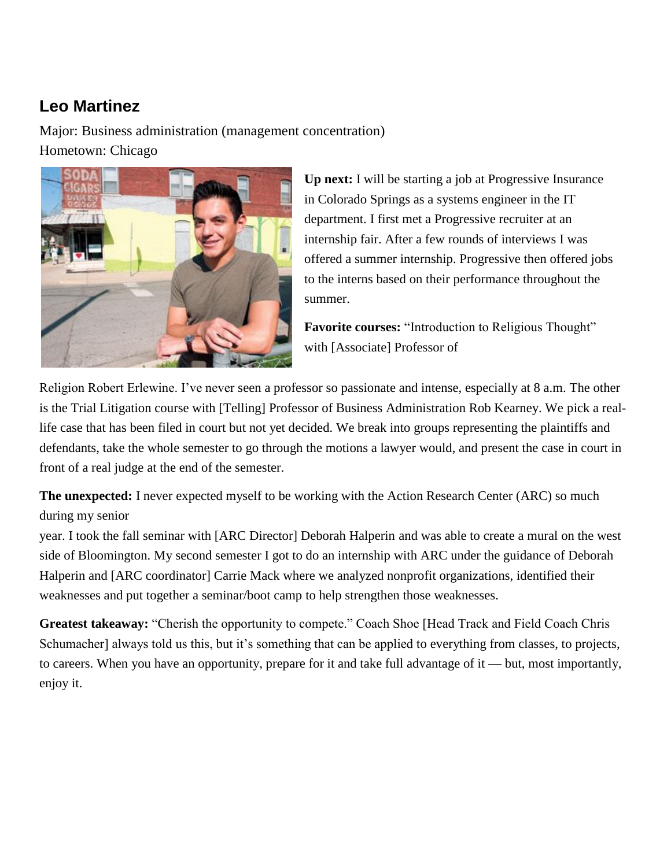#### **Leo Martinez**

Major: Business administration (management concentration) Hometown: Chicago



**Up next:** I will be starting a job at Progressive Insurance in Colorado Springs as a systems engineer in the IT department. I first met a Progressive recruiter at an internship fair. After a few rounds of interviews I was offered a summer internship. Progressive then offered jobs to the interns based on their performance throughout the summer.

**Favorite courses:** "Introduction to Religious Thought" with [Associate] Professor of

Religion Robert Erlewine. I've never seen a professor so passionate and intense, especially at 8 a.m. The other is the Trial Litigation course with [Telling] Professor of Business Administration Rob Kearney. We pick a reallife case that has been filed in court but not yet decided. We break into groups representing the plaintiffs and defendants, take the whole semester to go through the motions a lawyer would, and present the case in court in front of a real judge at the end of the semester.

**The unexpected:** I never expected myself to be working with the Action Research Center (ARC) so much during my senior

year. I took the fall seminar with [ARC Director] Deborah Halperin and was able to create a mural on the west side of Bloomington. My second semester I got to do an internship with ARC under the guidance of Deborah Halperin and [ARC coordinator] Carrie Mack where we analyzed nonprofit organizations, identified their weaknesses and put together a seminar/boot camp to help strengthen those weaknesses.

**Greatest takeaway:** "Cherish the opportunity to compete." Coach Shoe [Head Track and Field Coach Chris Schumacher] always told us this, but it's something that can be applied to everything from classes, to projects, to careers. When you have an opportunity, prepare for it and take full advantage of it — but, most importantly, enjoy it.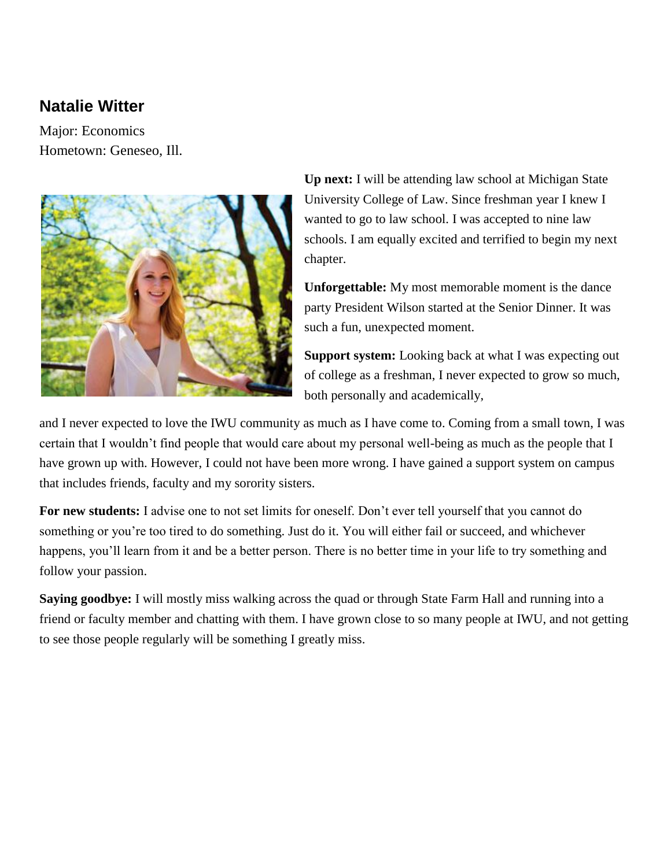#### **Natalie Witter**

Major: Economics Hometown: Geneseo, Ill.



**Up next:** I will be attending law school at Michigan State University College of Law. Since freshman year I knew I wanted to go to law school. I was accepted to nine law schools. I am equally excited and terrified to begin my next chapter.

**Unforgettable:** My most memorable moment is the dance party President Wilson started at the Senior Dinner. It was such a fun, unexpected moment.

**Support system:** Looking back at what I was expecting out of college as a freshman, I never expected to grow so much, both personally and academically,

and I never expected to love the IWU community as much as I have come to. Coming from a small town, I was certain that I wouldn't find people that would care about my personal well-being as much as the people that I have grown up with. However, I could not have been more wrong. I have gained a support system on campus that includes friends, faculty and my sorority sisters.

**For new students:** I advise one to not set limits for oneself. Don't ever tell yourself that you cannot do something or you're too tired to do something. Just do it. You will either fail or succeed, and whichever happens, you'll learn from it and be a better person. There is no better time in your life to try something and follow your passion.

**Saying goodbye:** I will mostly miss walking across the quad or through State Farm Hall and running into a friend or faculty member and chatting with them. I have grown close to so many people at IWU, and not getting to see those people regularly will be something I greatly miss.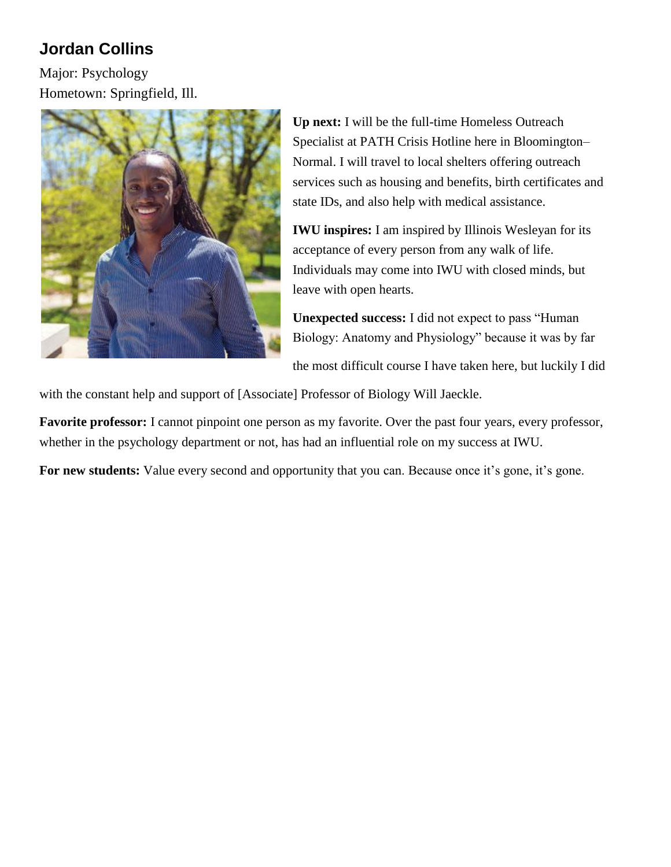## **Jordan Collins**

Major: Psychology Hometown: Springfield, Ill.



**Up next:** I will be the full-time Homeless Outreach Specialist at PATH Crisis Hotline here in Bloomington– Normal. I will travel to local shelters offering outreach services such as housing and benefits, birth certificates and state IDs, and also help with medical assistance.

**IWU inspires:** I am inspired by Illinois Wesleyan for its acceptance of every person from any walk of life. Individuals may come into IWU with closed minds, but leave with open hearts.

**Unexpected success:** I did not expect to pass "Human Biology: Anatomy and Physiology" because it was by far

the most difficult course I have taken here, but luckily I did

with the constant help and support of [Associate] Professor of Biology Will Jaeckle.

**Favorite professor:** I cannot pinpoint one person as my favorite. Over the past four years, every professor, whether in the psychology department or not, has had an influential role on my success at IWU.

For new students: Value every second and opportunity that you can. Because once it's gone, it's gone.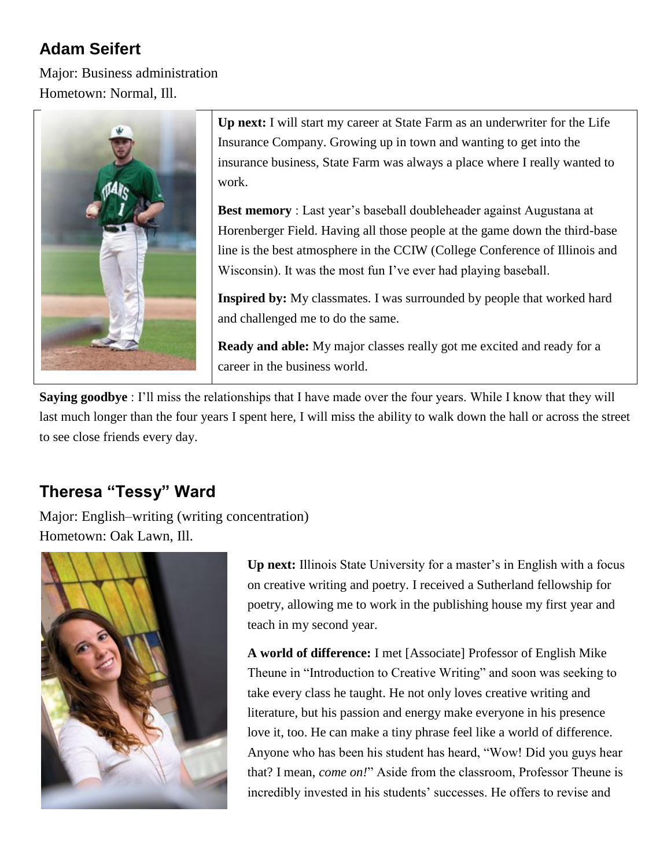### **Adam Seifert**

Major: Business administration Hometown: Normal, Ill.



**Up next:** I will start my career at State Farm as an underwriter for the Life Insurance Company. Growing up in town and wanting to get into the insurance business, State Farm was always a place where I really wanted to work.

**Best memory** : Last year's baseball doubleheader against Augustana at Horenberger Field. Having all those people at the game down the third-base line is the best atmosphere in the CCIW (College Conference of Illinois and Wisconsin). It was the most fun I've ever had playing baseball.

**Inspired by:** My classmates. I was surrounded by people that worked hard and challenged me to do the same.

**Ready and able:** My major classes really got me excited and ready for a career in the business world.

**Saying goodbye** : I'll miss the relationships that I have made over the four years. While I know that they will last much longer than the four years I spent here, I will miss the ability to walk down the hall or across the street to see close friends every day.

## **Theresa "Tessy" Ward**

Major: English–writing (writing concentration) Hometown: Oak Lawn, Ill.



**Up next:** Illinois State University for a master's in English with a focus on creative writing and poetry. I received a Sutherland fellowship for poetry, allowing me to work in the publishing house my first year and teach in my second year.

**A world of difference:** I met [Associate] Professor of English Mike Theune in "Introduction to Creative Writing" and soon was seeking to take every class he taught. He not only loves creative writing and literature, but his passion and energy make everyone in his presence love it, too. He can make a tiny phrase feel like a world of difference. Anyone who has been his student has heard, "Wow! Did you guys hear that? I mean, *come on!*" Aside from the classroom, Professor Theune is incredibly invested in his students' successes. He offers to revise and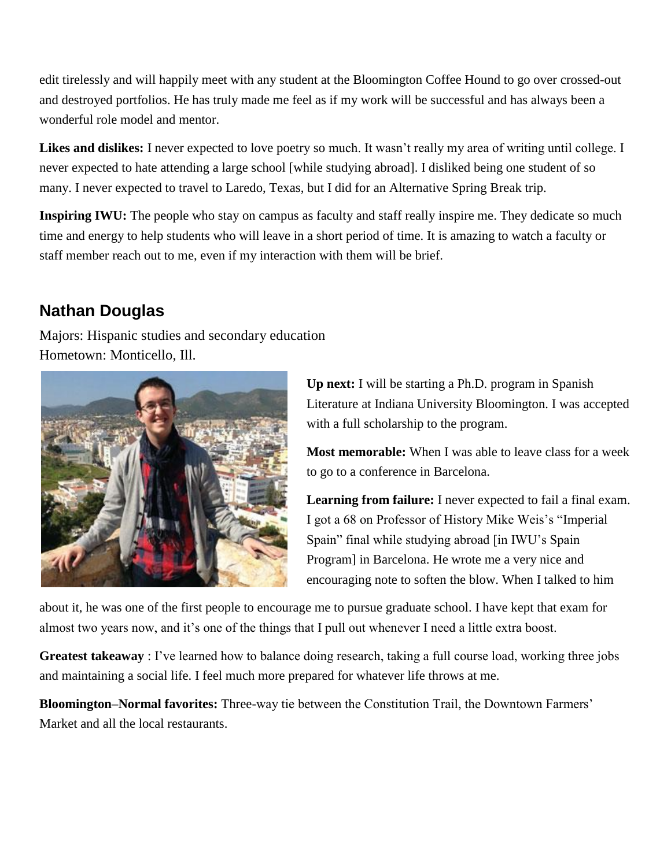edit tirelessly and will happily meet with any student at the Bloomington Coffee Hound to go over crossed-out and destroyed portfolios. He has truly made me feel as if my work will be successful and has always been a wonderful role model and mentor.

Likes and dislikes: I never expected to love poetry so much. It wasn't really my area of writing until college. I never expected to hate attending a large school [while studying abroad]. I disliked being one student of so many. I never expected to travel to Laredo, Texas, but I did for an Alternative Spring Break trip.

**Inspiring IWU:** The people who stay on campus as faculty and staff really inspire me. They dedicate so much time and energy to help students who will leave in a short period of time. It is amazing to watch a faculty or staff member reach out to me, even if my interaction with them will be brief.

#### **Nathan Douglas**

Majors: Hispanic studies and secondary education Hometown: Monticello, Ill.



**Up next:** I will be starting a Ph.D. program in Spanish Literature at Indiana University Bloomington. I was accepted with a full scholarship to the program.

**Most memorable:** When I was able to leave class for a week to go to a conference in Barcelona.

**Learning from failure:** I never expected to fail a final exam. I got a 68 on Professor of History Mike Weis's "Imperial Spain" final while studying abroad [in IWU's Spain Program] in Barcelona. He wrote me a very nice and encouraging note to soften the blow. When I talked to him

about it, he was one of the first people to encourage me to pursue graduate school. I have kept that exam for almost two years now, and it's one of the things that I pull out whenever I need a little extra boost.

**Greatest takeaway** : I've learned how to balance doing research, taking a full course load, working three jobs and maintaining a social life. I feel much more prepared for whatever life throws at me.

**Bloomington–Normal favorites:** Three-way tie between the Constitution Trail, the Downtown Farmers' Market and all the local restaurants.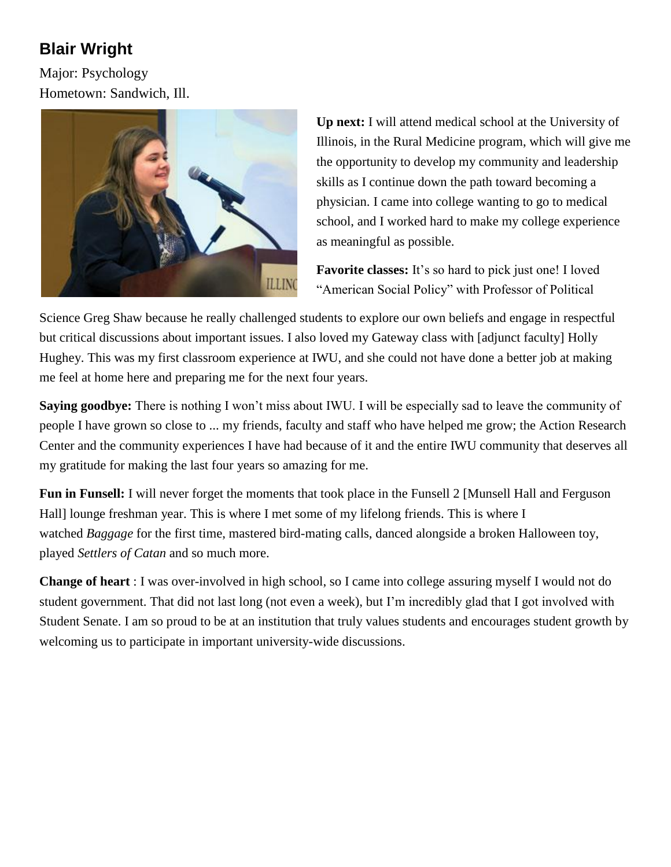# **Blair Wright**

Major: Psychology Hometown: Sandwich, Ill.



**Up next:** I will attend medical school at the University of Illinois, in the Rural Medicine program, which will give me the opportunity to develop my community and leadership skills as I continue down the path toward becoming a physician. I came into college wanting to go to medical school, and I worked hard to make my college experience as meaningful as possible.

**Favorite classes:** It's so hard to pick just one! I loved "American Social Policy" with Professor of Political

Science Greg Shaw because he really challenged students to explore our own beliefs and engage in respectful but critical discussions about important issues. I also loved my Gateway class with [adjunct faculty] Holly Hughey. This was my first classroom experience at IWU, and she could not have done a better job at making me feel at home here and preparing me for the next four years.

**Saying goodbye:** There is nothing I won't miss about IWU. I will be especially sad to leave the community of people I have grown so close to ... my friends, faculty and staff who have helped me grow; the Action Research Center and the community experiences I have had because of it and the entire IWU community that deserves all my gratitude for making the last four years so amazing for me.

**Fun in Funsell:** I will never forget the moments that took place in the Funsell 2 [Munsell Hall and Ferguson Hall] lounge freshman year. This is where I met some of my lifelong friends. This is where I watched *Baggage* for the first time, mastered bird-mating calls, danced alongside a broken Halloween toy, played *Settlers of Catan* and so much more.

**Change of heart** : I was over-involved in high school, so I came into college assuring myself I would not do student government. That did not last long (not even a week), but I'm incredibly glad that I got involved with Student Senate. I am so proud to be at an institution that truly values students and encourages student growth by welcoming us to participate in important university-wide discussions.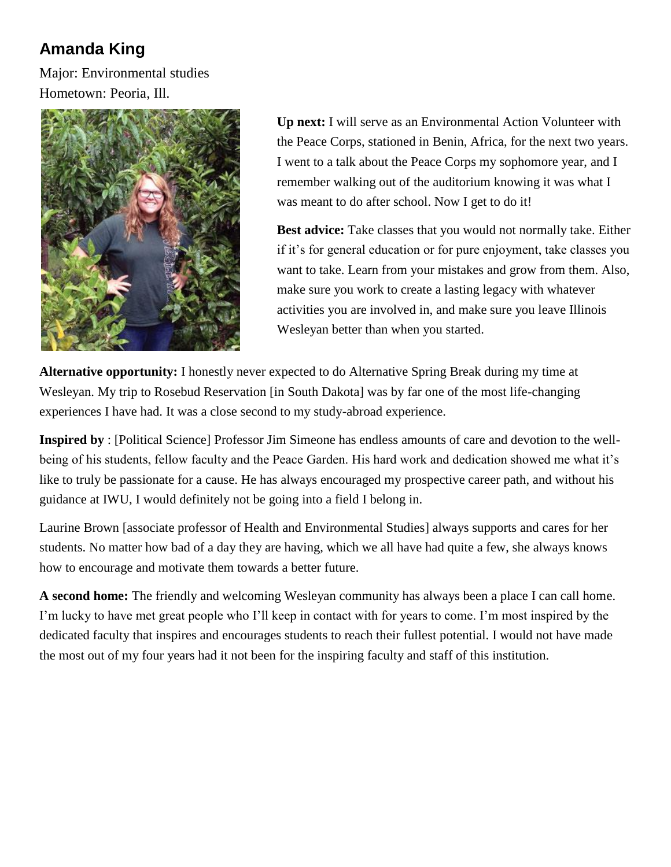# **Amanda King**

Major: Environmental studies Hometown: Peoria, Ill.



**Up next:** I will serve as an Environmental Action Volunteer with the Peace Corps, stationed in Benin, Africa, for the next two years. I went to a talk about the Peace Corps my sophomore year, and I remember walking out of the auditorium knowing it was what I was meant to do after school. Now I get to do it!

**Best advice:** Take classes that you would not normally take. Either if it's for general education or for pure enjoyment, take classes you want to take. Learn from your mistakes and grow from them. Also, make sure you work to create a lasting legacy with whatever activities you are involved in, and make sure you leave Illinois Wesleyan better than when you started.

**Alternative opportunity:** I honestly never expected to do Alternative Spring Break during my time at Wesleyan. My trip to Rosebud Reservation [in South Dakota] was by far one of the most life-changing experiences I have had. It was a close second to my study-abroad experience.

**Inspired by** : [Political Science] Professor Jim Simeone has endless amounts of care and devotion to the wellbeing of his students, fellow faculty and the Peace Garden. His hard work and dedication showed me what it's like to truly be passionate for a cause. He has always encouraged my prospective career path, and without his guidance at IWU, I would definitely not be going into a field I belong in.

Laurine Brown [associate professor of Health and Environmental Studies] always supports and cares for her students. No matter how bad of a day they are having, which we all have had quite a few, she always knows how to encourage and motivate them towards a better future.

**A second home:** The friendly and welcoming Wesleyan community has always been a place I can call home. I'm lucky to have met great people who I'll keep in contact with for years to come. I'm most inspired by the dedicated faculty that inspires and encourages students to reach their fullest potential. I would not have made the most out of my four years had it not been for the inspiring faculty and staff of this institution.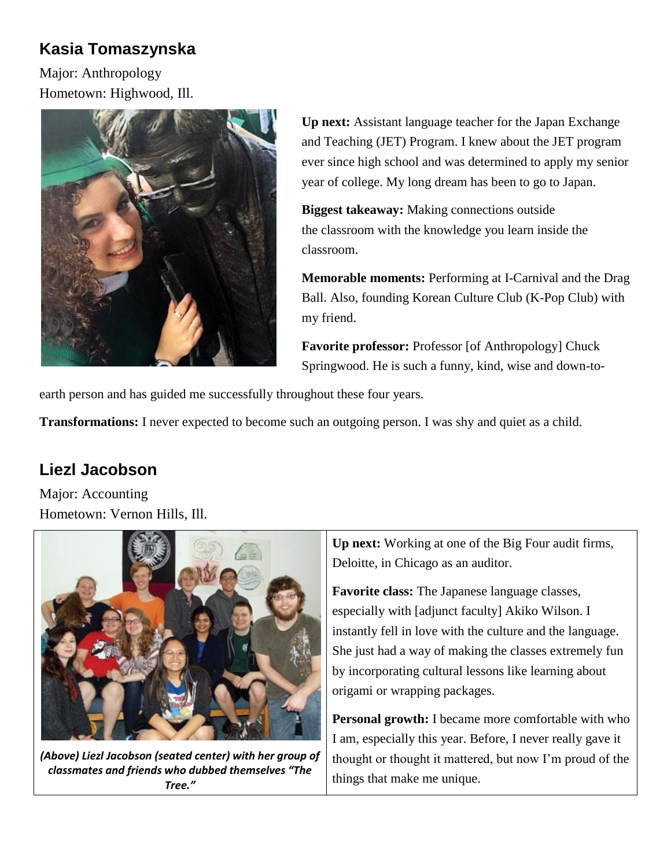#### **Kasia Tomaszynska**

Major: Anthropology Hometown: Highwood, Ill.



**Up next:** Assistant language teacher for the Japan Exchange and Teaching (JET) Program. I knew about the JET program ever since high school and was determined to apply my senior year of college. My long dream has been to go to Japan.

**Biggest takeaway:** Making connections outside the classroom with the knowledge you learn inside the classroom.

**Memorable moments:** Performing at I-Carnival and the Drag Ball. Also, founding Korean Culture Club (K-Pop Club) with my friend.

**Favorite professor:** Professor [of Anthropology] Chuck Springwood. He is such a funny, kind, wise and down-to-

earth person and has guided me successfully throughout these four years.

**Transformations:** I never expected to become such an outgoing person. I was shy and quiet as a child.

#### **Liezl Jacobson**

Major: Accounting Hometown: Vernon Hills, Ill.



*(Above) Liezl Jacobson (seated center) with her group of classmates and friends who dubbed themselves "The Tree."*

**Up next:** Working at one of the Big Four audit firms, Deloitte, in Chicago as an auditor.

**Favorite class:** The Japanese language classes, especially with [adjunct faculty] Akiko Wilson. I instantly fell in love with the culture and the language. She just had a way of making the classes extremely fun by incorporating cultural lessons like learning about origami or wrapping packages.

**Personal growth:** I became more comfortable with who I am, especially this year. Before, I never really gave it thought or thought it mattered, but now I'm proud of the things that make me unique.